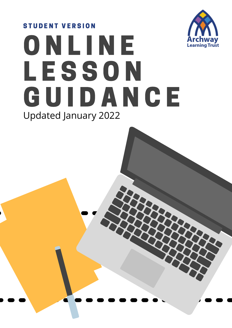# O N L I N E **LESSON GUIDANCE** STUDENT VERSION Updated January 2022

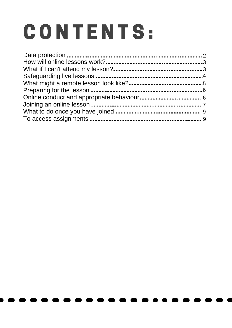# CONTENTS: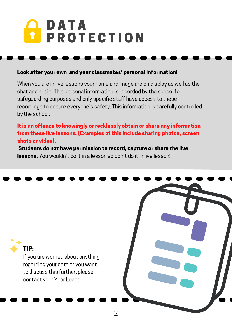## D A T A **PROTECTION**

#### Look after your own and your classmates' personal information!

When you are in live lessons your name and image are on display as well as the chat and audio. This personal information is recorded by the school for safeguarding purposes and only specific staff have access to these recordings to ensure everyone's safety. This information is carefully controlled by the school.

#### It is an offence to knowingly or recklessly obtain or share any information from these live lessons. (Examples of this include sharing photos, screen shots or video).

Students do not have permission to record, capture or share the live **lessons.** You wouldn't do it in a lesson so don't do it in live lesson!

#### TIP:

If you are worried about anything regarding your data or you want to discuss this further, please contact your Year Leader.

2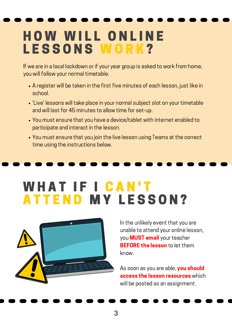## **HOW WILL ONLINE** LESSONS WORK?

If we are in a local lockdown or if your year group is asked to work from home, you will follow your normal timetable.

- A register will be taken in the first five minutes of each lesson, just like in school.
- 'Live' lessons will take place in your normal subject slot on your timetable and will last for 45 minutes to allow time for set-up.
- You must ensure that you have a device/tablet with internet enabled to participate and interact in the lesson.
- You must ensure that you join the live lesson using Teams at the correct time using the instructions below.

#### WHAT IF I CAN'T **ATTEND MY LESSON?**



In the unlikely event that you are unable to attend your online lesson, you **MUST email** your teacher **BEFORE the lesson** to let them know.

As soon as you are able, you should access the lesson resources which will be posted as an assignment.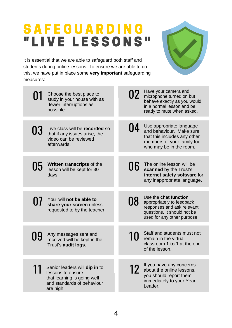#### S A F E G U A R D I N G " L I V E L E S S O N S "

It is essential that we are able to safeguard both staff and students during online lessons. To ensure we are able to do this, we have put in place some **very important** safeguarding measures:



| 01 | Choose the best place to<br>study in your house with as<br>fewer interruptions as<br>possible.                               | 02 | Have your camera and<br>microphone turned on but<br>behave exactly as you would<br>in a normal lesson and be<br>ready to mute when asked.     |
|----|------------------------------------------------------------------------------------------------------------------------------|----|-----------------------------------------------------------------------------------------------------------------------------------------------|
| 03 | Live class will be recorded so<br>that if any issues arise, the<br>video can be reviewed<br>afterwards.                      | 04 | Use appropriate language<br>and behaviour. Make sure<br>that this includes any other<br>members of your family too<br>who may be in the room. |
| 05 | <b>Written transcripts of the</b><br>lesson will be kept for 30<br>days.                                                     | 06 | The online lesson will be<br>scanned by the Trust's<br>internet safety software for<br>any inappropriate language.                            |
| 07 | You will not be able to<br>share your screen unless<br>requested to by the teacher.                                          | 08 | Use the chat function<br>appropriately to feedback<br>responses and ask relevant<br>questions. It should not be<br>used for any other purpose |
| 09 | Any messages sent and<br>received will be kept in the<br>Trust's audit logs.                                                 | 10 | Staff and students must not<br>remain in the virtual<br>classroom 1 to 1 at the end<br>of the lesson.                                         |
|    | Senior leaders will dip in to<br>lessons to ensure<br>that learning is going well<br>and standards of behaviour<br>are high. | 12 | If you have any concerns<br>about the online lessons,<br>you should report them<br>immediately to your Year<br>Leader.                        |
|    |                                                                                                                              |    |                                                                                                                                               |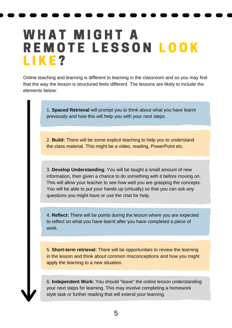#### WHAT MIGHT A R E M O T E L E S S O N L O O K LIKE?

Online teaching and learning is different to learning in the classroom and so you may find that the way the lesson is structured feels different. The lessons are likely to include the elements below:

> 1. **Spaced Retrieval** will prompt you to think about what you have learnt previously and how this will help you with your next steps.

2. **Build:** There will be some explicit teaching to help you to understand the class material. This might be a video, reading, PowerPoint etc.

3. **Develop Understanding**: You will be taught a small amount of new information, then given a chance to do something with it before moving on. This will allow your teacher to see how well you are grasping the concepts. You will be able to put your hands up (virtually) so that you can ask any questions you might have or use the chat for help.

4. **Reflect:** There will be points during the lesson where you are expected to reflect on what you have learnt after you have completed a piece of work.

5. **Short-term retrieval:** There will be opportunities to review the learning in the lesson and think about common misconceptions and how you might apply the learning to a new situation.

6. **Independent Work:** You should "leave" the online lesson understanding your next steps for learning. This may involve completing a homework style task or further reading that will extend your learning.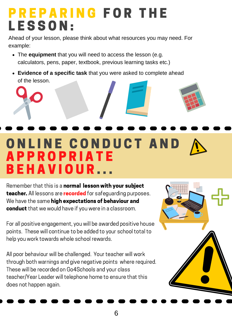#### PREPARING FOR THE LESSON:

Ahead of your lesson, please think about what resources you may need. For example:

- The **equipment** that you will need to access the lesson (e.g. calculators, pens, paper, textbook, previous learning tasks etc.)
- **Evidence of a specific task** that you were asked to complete ahead of the lesson.

## O N L I N E C O N D U C T A N D A P P R O P R I A T E B E H A V I O U R . . .

Remember that this is a normal lesson with your subject teacher. All lessons are recorded for safeguarding purposes. We have the same high expectations of behaviour and conduct that we would have if you were in a classroom.

For all positive engagement, you will be awarded positive house points. These will continue to be added to your school total to help you work towards whole school rewards.

All poor behaviour will be challenged. Your teacher will work through both warnings and give negative points where required. These will be recorded on Go4Schools and your class teacher/Year Leader will telephone home to ensure that this does not happen again.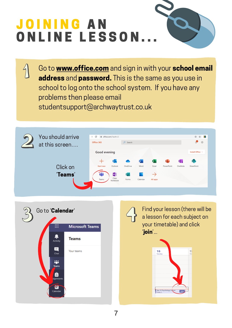# JOINING AN ONLINE LESSON.

Go to **www.office.com** and sign in with your school email address and password. This is the same as you use in school to log onto the school system. If you have any problems then please email studentsupport@archwaytrust.co.uk





 $\overline{\mathcal{L}}$ 

a lesson for each subject on your timetable) and click 'join'...

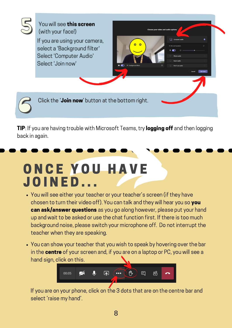

TIP: If you are having trouble with Microsoft Teams, try logging off and then logging back in again.

#### ONCE YOU HAVE **JOINED...**

- You will see either your teacher or your teacher's screen (if they have chosen to turn their video off). You can talk and they will hear you so you **can ask/answer questions** as you go along however, please put your hand up and wait to be asked or use the chat function first. If there is too much background noise, please switch your microphone off. Do not interrupt the teacher when they are speaking.
- You can show your teacher that you wish to speak by hovering over the bar in the centre of your screen and, if you are on a laptop or PC, you will see a hand sign, click on this.



If you are on your phone, click on the 3 dots that are on the centre bar and select 'raise my hand'.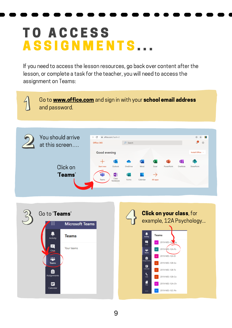#### **TO ACCESS** ASSIGNMENTS...

If you need to access the lesson resources, go back over content after the lesson, or complete a task for the teacher, you will need to access the assignment on Teams: